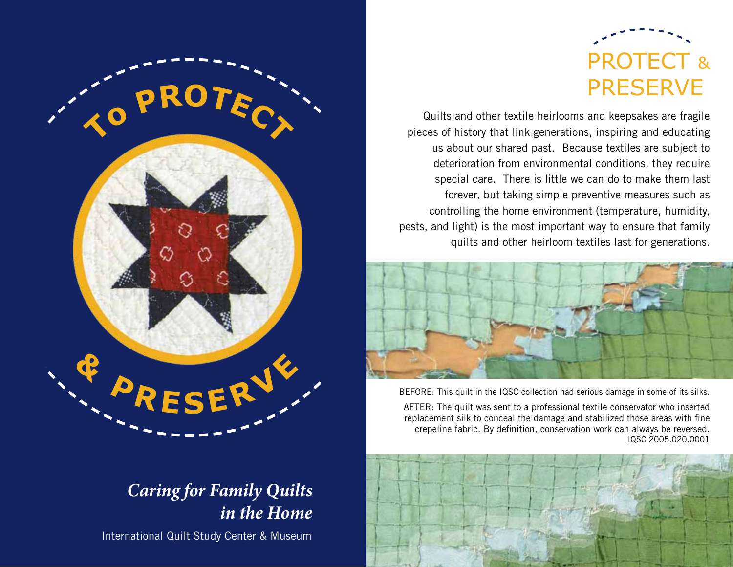

Quilts and other textile heirlooms and keepsakes are fragile pieces of history that link generations, inspiring and educating us about our shared past. Because textiles are subject to deterioration from environmental conditions, they require special care. There is little we can do to make them last forever, but taking simple preventive measures such as controlling the home environment (temperature, humidity, pests, and light) is the most important way to ensure that family quilts and other heirloom textiles last for generations.



BEFORE: This quilt in the IQSC collection had serious damage in some of its silks.

AFTER: The quilt was sent to a professional textile conservator who inserted replacement silk to conceal the damage and stabilized those areas with fine crepeline fabric. By definition, conservation work can always be reversed. IQSC 2005.020.0001





## *Caring for Family Quilts in the Home*

International Quilt Study Center & Museum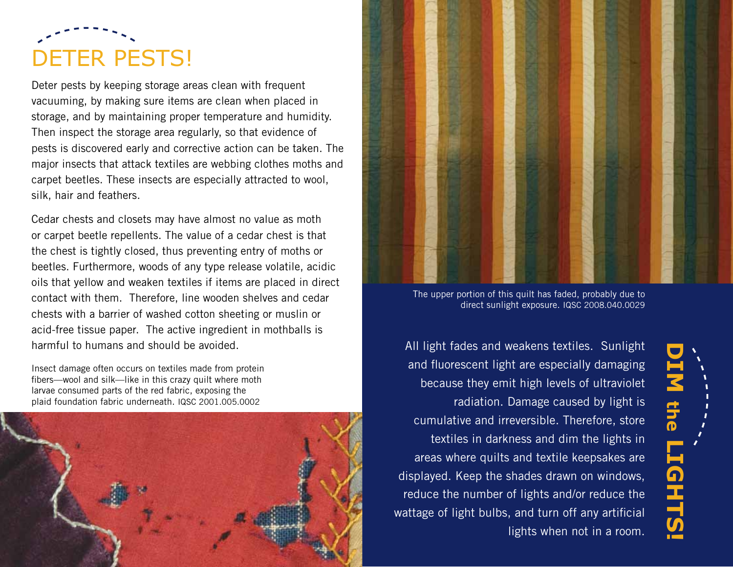## DETER PESTS!

Deter pests by keeping storage areas clean with frequent vacuuming, by making sure items are clean when placed in storage, and by maintaining proper temperature and humidity. Then inspect the storage area regularly, so that evidence of pests is discovered early and corrective action can be taken. The major insects that attack textiles are webbing clothes moths and carpet beetles. These insects are especially attracted to wool, silk, hair and feathers.

Cedar chests and closets may have almost no value as moth or carpet beetle repellents. The value of a cedar chest is that the chest is tightly closed, thus preventing entry of moths or beetles. Furthermore, woods of any type release volatile, acidic oils that yellow and weaken textiles if items are placed in direct contact with them. Therefore, line wooden shelves and cedar chests with a barrier of washed cotton sheeting or muslin or acid-free tissue paper. The active ingredient in mothballs is harmful to humans and should be avoided.

Insect damage often occurs on textiles made from protein fibers—wool and silk—like in this crazy quilt where moth larvae consumed parts of the red fabric, exposing the plaid foundation fabric underneath. IQSC 2001.005.0002





The upper portion of this quilt has faded, probably due to direct sunlight exposure. IQSC 2008.040.0029

All light fades and weakens textiles. Sunlight and fluorescent light are especially damaging because they emit high levels of ultraviolet radiation. Damage caused by light is cumulative and irreversible. Therefore, store textiles in darkness and dim the lights in areas where quilts and textile keepsakes are displayed. Keep the shades drawn on windows, reduce the number of lights and/or reduce the wattage of light bulbs, and turn off any artificial lights when not in a room.

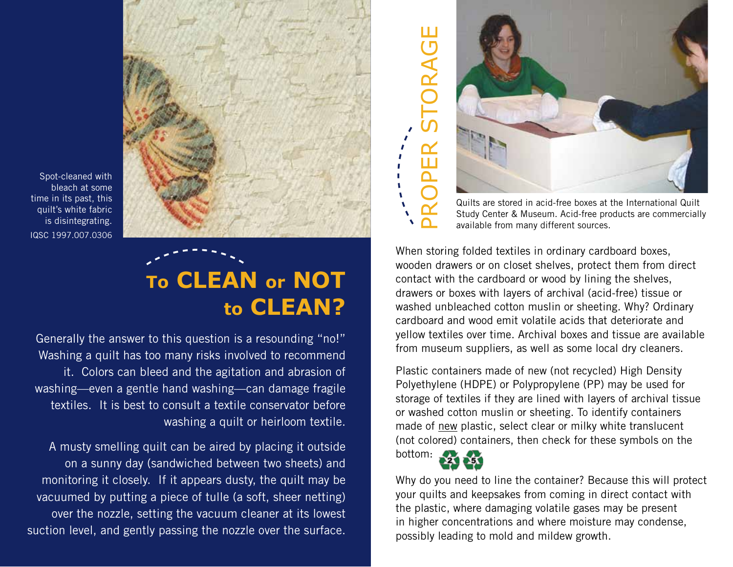

Spot-cleaned with bleach at some time in its past, this quilt's white fabric is disintegrating. IQSC 1997.007.0306

## **To CLEAN or NOT to CLEAN?**

Generally the answer to this question is a resounding "no!" Washing a quilt has too many risks involved to recommend it. Colors can bleed and the agitation and abrasion of washing—even a gentle hand washing—can damage fragile textiles. It is best to consult a textile conservator before washing a quilt or heirloom textile.

A musty smelling quilt can be aired by placing it outside on a sunny day (sandwiched between two sheets) and monitoring it closely. If it appears dusty, the quilt may be vacuumed by putting a piece of tulle (a soft, sheer netting) over the nozzle, setting the vacuum cleaner at its lowest suction level, and gently passing the nozzle over the surface.



Study Center & Museum. Acid-free products are commercially available from many different sources.

When storing folded textiles in ordinary cardboard boxes, wooden drawers or on closet shelves, protect them from direct contact with the cardboard or wood by lining the shelves, drawers or boxes with layers of archival (acid-free) tissue or washed unbleached cotton muslin or sheeting. Why? Ordinary cardboard and wood emit volatile acids that deteriorate and yellow textiles over time. Archival boxes and tissue are available from museum suppliers, as well as some local dry cleaners.

Plastic containers made of new (not recycled) High Density Polyethylene (HDPE) or Polypropylene (PP) may be used for storage of textiles if they are lined with layers of archival tissue or washed cotton muslin or sheeting. To identify containers made of new plastic, select clear or milky white translucent (not colored) containers, then check for these symbols on the



Why do you need to line the container? Because this will protect your quilts and keepsakes from coming in direct contact with the plastic, where damaging volatile gases may be present in higher concentrations and where moisture may condense,